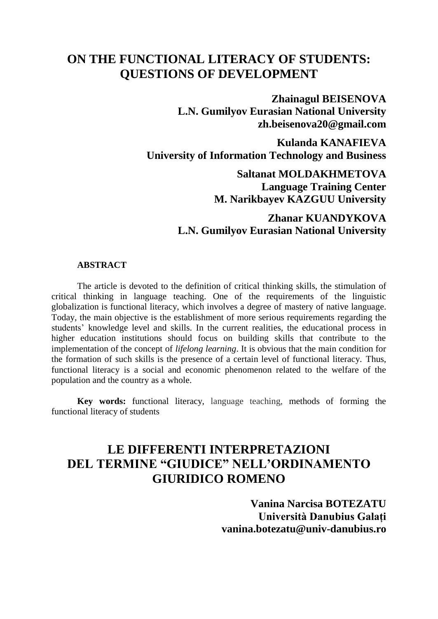## **ON THE FUNCTIONAL LITERACY OF STUDENTS: QUESTIONS OF DEVELOPMENT**

**Zhainagul BEISENOVA L.N. Gumilyov Eurasian National University zh.beisenova20@gmail.com**

**Kulanda KANAFIEVA University of Information Technology and Business**

> **Saltanat MOLDAKHMETOVA Language Training Center M. Narikbayev KAZGUU University**

### **Zhanar KUANDYKOVA L.N. Gumilyov Eurasian National University**

#### **ABSTRACT**

The article is devoted to the definition of critical thinking skills, the stimulation of critical thinking in language teaching. One of the requirements of the linguistic globalization is functional literacy, which involves a degree of mastery of native language. Today, the main objective is the establishment of more serious requirements regarding the students' knowledge level and skills. In the current realities, the educational process in higher education institutions should focus on building skills that contribute to the implementation of the concept of *lifelong learning*. It is obvious that the main condition for the formation of such skills is the presence of a certain level of functional literacy. Thus, functional literacy is a social and economic phenomenon related to the welfare of the population and the country as a whole.

**Key words:** functional literacy, language teaching, methods of forming the functional literacy of students

## **LE DIFFERENTI INTERPRETAZIONI DEL TERMINE "GIUDICE" NELL'ORDINAMENTO GIURIDICO ROMENO**

**Vanina Narcisa BOTEZATU Università Danubius Galați [vanina.botezatu@univ-danubius.ro](mailto:vanina.botezatu@univ-danubius.ro)**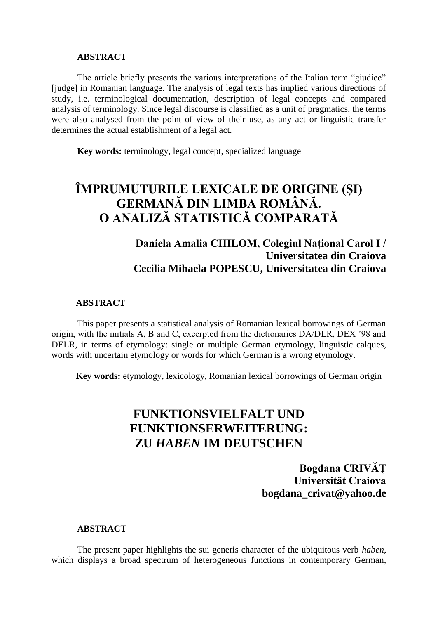#### **ABSTRACT**

The article briefly presents the various interpretations of the Italian term "giudice" [judge] in Romanian language. The analysis of legal texts has implied various directions of study, i.e. terminological documentation, description of legal concepts and compared analysis of terminology. Since legal discourse is classified as a unit of pragmatics, the terms were also analysed from the point of view of their use, as any act or linguistic transfer determines the actual establishment of a legal act.

**Key words:** terminology, legal concept, specialized language

# **ÎMPRUMUTURILE LEXICALE DE ORIGINE (ȘI) GERMANĂ DIN LIMBA ROMÂNĂ. O ANALIZĂ STATISTICĂ COMPARATĂ**

### **Daniela Amalia CHILOM, Colegiul Național Carol I / Universitatea din Craiova Cecilia Mihaela POPESCU, Universitatea din Craiova**

#### **ABSTRACT**

This paper presents a statistical analysis of Romanian lexical borrowings of German origin, with the initials A, B and C, excerpted from the dictionaries DA/DLR, DEX '98 and DELR, in terms of etymology: single or multiple German etymology, linguistic calques, words with uncertain etymology or words for which German is a wrong etymology.

**Key words:** etymology, lexicology, Romanian lexical borrowings of German origin

## **FUNKTIONSVIELFALT UND FUNKTIONSERWEITERUNG: ZU** *HABEN* **IM DEUTSCHEN**

**Bogdana CRIVĂȚ Universität Craiova bogdana\_crivat@yahoo.de**

#### **ABSTRACT**

The present paper highlights the sui generis character of the ubiquitous verb *haben*, which displays a broad spectrum of heterogeneous functions in contemporary German,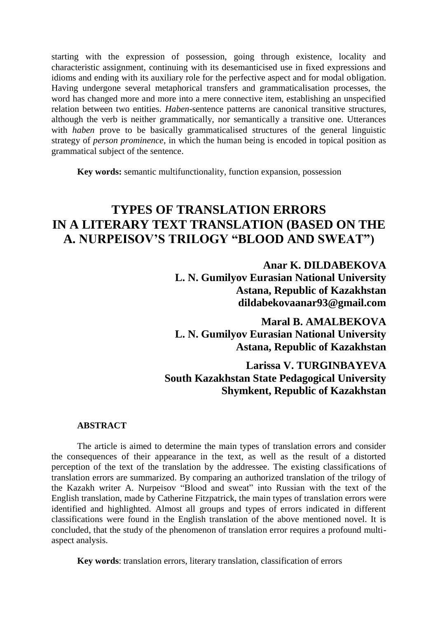starting with the expression of possession, going through existence, locality and characteristic assignment, continuing with its desemanticised use in fixed expressions and idioms and ending with its auxiliary role for the perfective aspect and for modal obligation. Having undergone several metaphorical transfers and grammaticalisation processes, the word has changed more and more into a mere connective item, establishing an unspecified relation between two entities. *Haben*-sentence patterns are canonical transitive structures, although the verb is neither grammatically, nor semantically a transitive one. Utterances with *haben* prove to be basically grammaticalised structures of the general linguistic strategy of *person prominence*, in which the human being is encoded in topical position as grammatical subject of the sentence.

**Key words:** semantic multifunctionality, function expansion, possession

# **TYPES OF TRANSLATION ERRORS IN A LITERARY TEXT TRANSLATION (BASED ON THE A. NURPEISOV'S TRILOGY "BLOOD AND SWEAT")**

**Anar K. DILDABEKOVA**

**L. N. Gumilyov Eurasian National University Astana, Republic of Kazakhstan dildabekovaanar93@gmail.com**

**Maral B. AMALBEKOVA L. N. Gumilyov Eurasian National University Astana, Republic of Kazakhstan**

### **Larissa V. TURGINBAYEVA South Kazakhstan State Pedagogical University Shymkent, Republic of Kazakhstan**

#### **ABSTRACT**

The article is aimed to determine the main types of translation errors and consider the consequences of their appearance in the text, as well as the result of a distorted perception of the text of the translation by the addressee. The existing classifications of translation errors are summarized. By comparing an authorized translation of the trilogy of the Kazakh writer A. Nurpeisov "Blood and sweat" into Russian with the text of the English translation, made by Catherine Fitzpatrick, the main types of translation errors were identified and highlighted. Almost all groups and types of errors indicated in different classifications were found in the English translation of the above mentioned novel. It is concluded, that the study of the phenomenon of translation error requires a profound multiaspect analysis.

**Key words**: translation errors, literary translation, classification of errors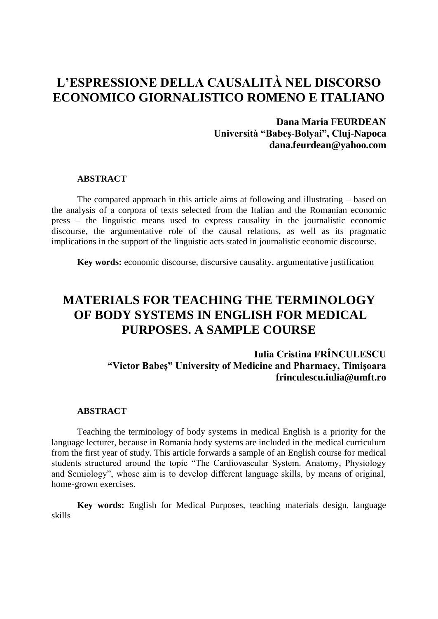# **L'ESPRESSIONE DELLA CAUSALITÀ NEL DISCORSO ECONOMICO GIORNALISTICO ROMENO E ITALIANO**

### **Dana Maria FEURDEAN Università "Babeş-Bolyai", Cluj-Napoca [dana.feurdean@yahoo.com](mailto:dana.feurdean@yahoo.com/)**

#### **ABSTRACT**

The compared approach in this article aims at following and illustrating – based on the analysis of a corpora of texts selected from the Italian and the Romanian economic press – the linguistic means used to express causality in the journalistic economic discourse, the argumentative role of the causal relations, as well as its pragmatic implications in the support of the linguistic acts stated in journalistic economic discourse.

**Key words:** economic discourse, discursive causality, argumentative justification

# **MATERIALS FOR TEACHING THE TERMINOLOGY OF BODY SYSTEMS IN ENGLISH FOR MEDICAL PURPOSES. A SAMPLE COURSE**

**Iulia Cristina FRÎNCULESCU "Victor Babeş" University of Medicine and Pharmacy, Timişoara [frinculescu.iulia@umft.ro](mailto:frinculescu_engleza@yahoo.com)**

#### **ABSTRACT**

Teaching the terminology of body systems in medical English is a priority for the language lecturer, because in Romania body systems are included in the medical curriculum from the first year of study. This article forwards a sample of an English course for medical students structured around the topic "The Cardiovascular System. Anatomy, Physiology and Semiology", whose aim is to develop different language skills, by means of original, home-grown exercises.

**Key words:** English for Medical Purposes, teaching materials design, language skills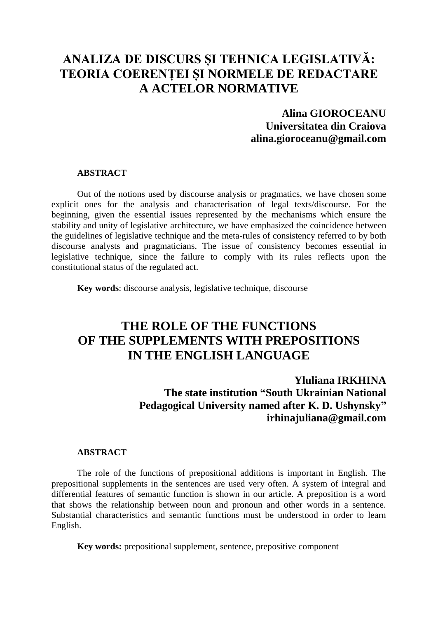# **ANALIZA DE DISCURS ȘI TEHNICA LEGISLATIVĂ: TEORIA COERENȚEI ȘI NORMELE DE REDACTARE A ACTELOR NORMATIVE**

### **Alina GIOROCEANU Universitatea din Craiova alina.gioroceanu@gmail.com**

#### **ABSTRACT**

Out of the notions used by discourse analysis or pragmatics, we have chosen some explicit ones for the analysis and characterisation of legal texts/discourse. For the beginning, given the essential issues represented by the mechanisms which ensure the stability and unity of legislative architecture, we have emphasized the coincidence between the guidelines of legislative technique and the meta-rules of consistency referred to by both discourse analysts and pragmaticians. The issue of consistency becomes essential in legislative technique, since the failure to comply with its rules reflects upon the constitutional status of the regulated act.

**Key words**: discourse analysis, legislative technique, discourse

## **THE ROLE OF THE FUNCTIONS OF THE SUPPLEMENTS WITH PREPOSITIONS IN THE ENGLISH LANGUAGE**

**Yluliana IRKHINA**

**The state institution "South Ukrainian National Pedagogical University named after K. D. Ushynsky" [irhinajuliana@gmail.com](mailto:irhinajuliana@gmail.com)**

#### **ABSTRACT**

The role of the functions of prepositional additions is important in English. The prepositional supplements in the sentences are used very often. A system of integral and differential features of semantic function is shown in our article. A preposition is a word that shows the relationship between noun and pronoun and other words in a sentence. Substantial characteristics and semantic functions must be understood in order to learn English.

**Key words:** prepositional supplement, sentence, prepositive component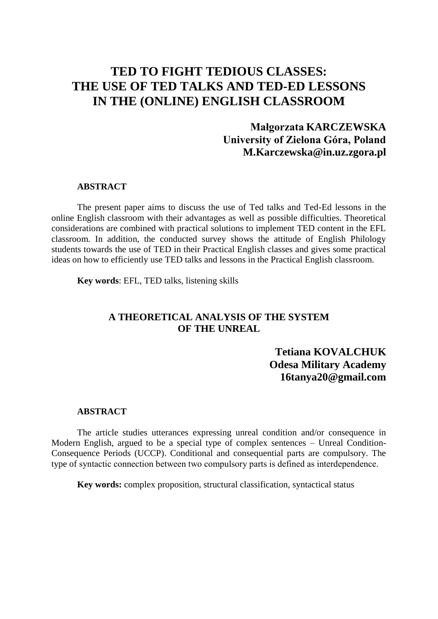## **TED TO FIGHT TEDIOUS CLASSES: THE USE OF TED TALKS AND TED-ED LESSONS IN THE (ONLINE) ENGLISH CLASSROOM**

### **Małgorzata KARCZEWSKA University of Zielona Góra, Poland [M.Karczewska@in.uz.zgora.pl](mailto:M.Karczewska@in.uz.zgora.pl)**

#### **ABSTRACT**

The present paper aims to discuss the use of Ted talks and Ted-Ed lessons in the online English classroom with their advantages as well as possible difficulties. Theoretical considerations are combined with practical solutions to implement TED content in the EFL classroom. In addition, the conducted survey shows the attitude of English Philology students towards the use of TED in their Practical English classes and gives some practical ideas on how to efficiently use TED talks and lessons in the Practical English classroom.

**Key words**: EFL, TED talks, listening skills

### **A THEORETICAL ANALYSIS OF THE SYSTEM OF THE UNREAL**

**Tetiana KOVALCHUK Odesa Military Academy [16tanya20@gmail.com](mailto:16tanya20@gmail.com)**

### **ABSTRACT**

The article studies utterances expressing unreal condition and/or consequence in Modern English, argued to be a special type of complex sentences – Unreal Condition-Consequence Periods (UCCP). Conditional and consequential parts are compulsory. The type of syntactic connection between two compulsory parts is defined as interdependencе.

**Key words:** complex proposition, structural classification, syntactical status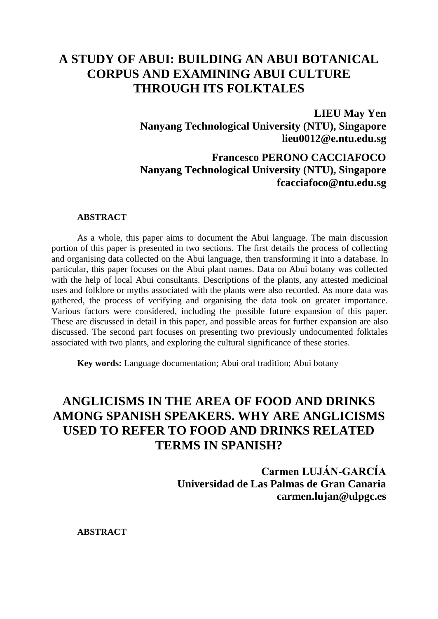## **A STUDY OF ABUI: BUILDING AN ABUI BOTANICAL CORPUS AND EXAMINING ABUI CULTURE THROUGH ITS FOLKTALES**

**LIEU May Yen Nanyang Technological University (NTU), Singapore [lieu0012@e.ntu.edu.sg](mailto:lieu0012@e.ntu.edu.sg)**

**Francesco PERONO CACCIAFOCO Nanyang Technological University (NTU), Singapore fcacciafoco@ntu.edu.sg**

#### **ABSTRACT**

As a whole, this paper aims to document the Abui language. The main discussion portion of this paper is presented in two sections. The first details the process of collecting and organising data collected on the Abui language, then transforming it into a database. In particular, this paper focuses on the Abui plant names. Data on Abui botany was collected with the help of local Abui consultants. Descriptions of the plants, any attested medicinal uses and folklore or myths associated with the plants were also recorded. As more data was gathered, the process of verifying and organising the data took on greater importance. Various factors were considered, including the possible future expansion of this paper. These are discussed in detail in this paper, and possible areas for further expansion are also discussed. The second part focuses on presenting two previously undocumented folktales associated with two plants, and exploring the cultural significance of these stories.

**Key words:** Language documentation; Abui oral tradition; Abui botany

# **ANGLICISMS IN THE AREA OF FOOD AND DRINKS AMONG SPANISH SPEAKERS. WHY ARE ANGLICISMS USED TO REFER TO FOOD AND DRINKS RELATED TERMS IN SPANISH?**

**Carmen LUJÁN-GARCÍA Universidad de Las Palmas de Gran Canaria carmen.lujan@ulpgc.es**

**ABSTRACT**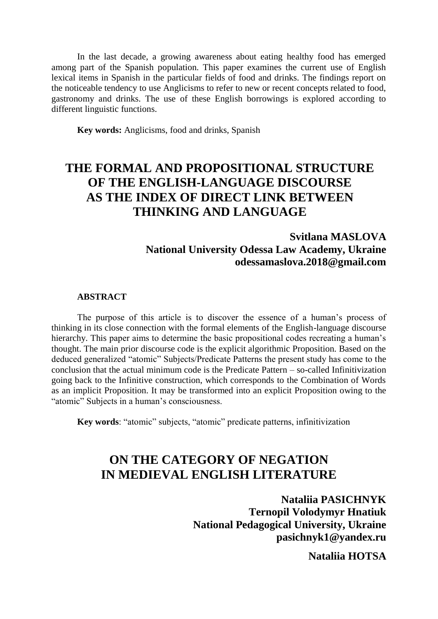In the last decade, a growing awareness about eating healthy food has emerged among part of the Spanish population. This paper examines the current use of English lexical items in Spanish in the particular fields of food and drinks. The findings report on the noticeable tendency to use Anglicisms to refer to new or recent concepts related to food, gastronomy and drinks. The use of these English borrowings is explored according to different linguistic functions.

**Key words:** Anglicisms, food and drinks, Spanish

# **THE FORMAL AND PROPOSITIONAL STRUCTURE OF THE ENGLISH-LANGUAGE DISCOURSE AS THE INDEX OF DIRECT LINK BETWEEN THINKING AND LANGUAGE**

### **Svitlana MASLOVA National University Odessa Law Academy, Ukraine odessamaslova.2018@gmail.com**

#### **ABSTRACT**

The purpose of this article is to discover the essence of a human's process of thinking in its close connection with the formal elements of the English-language discourse hierarchy. This paper aims to determine the basic propositional codes recreating a human's thought. The main prior discourse code is the explicit algorithmic Proposition. Based on the deduced generalized "atomic" Subjects/Predicate Patterns the present study has come to the conclusion that the actual minimum code is the Predicate Pattern – so-called Infinitivization going back to the Infinitive construction, which corresponds to the Combination of Words as an implicit Proposition. It may be transformed into an explicit Proposition owing to the "atomic" Subjects in a human's consciousness.

**Key words**: "atomic" subjects, "atomic" predicate patterns, infinitivization

## **ON THE CATEGORY OF NEGATION IN MEDIEVAL ENGLISH LITERATURE**

**Nataliia PASICHNYK Ternopil Volodymyr Hnatiuk National Pedagogical University, Ukraine [pasichnyk1@yandex.ru](mailto:pasichnyk1@yandex.ru)**

**Nataliia HOTSA**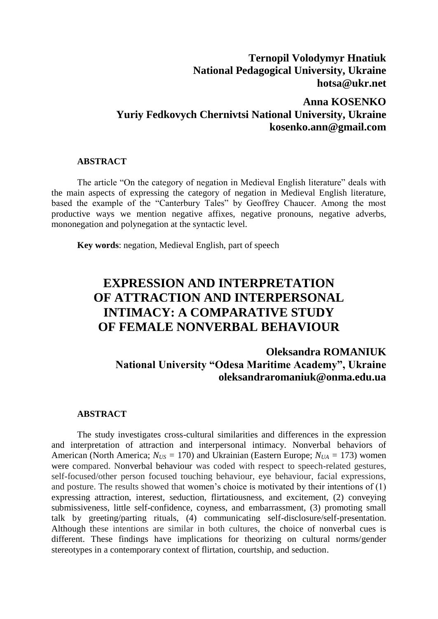### **Ternopil Volodymyr Hnatiuk National Pedagogical University, Ukraine hotsa@ukr.net**

### **Anna KOSENKO Yuriy Fedkovych Chernivtsi National University, Ukraine kosenko.ann@gmail.com**

#### **ABSTRACT**

The article "On the category of negation in Medieval English literature" deals with the main aspects of expressing the category of negation in Medieval English literature, based the example of the "Canterbury Tales" by Geoffrey Chaucer. Among the most productive ways we mention negative affixes, negative pronouns, negative adverbs, mononegation and polynegation at the syntactic level.

**Key words**: negation, Medieval English, part of speech

# **EXPRESSION AND INTERPRETATION OF ATTRACTION AND INTERPERSONAL INTIMACY: A COMPARATIVE STUDY OF FEMALE NONVERBAL BEHAVIOUR**

### **Oleksandra ROMANIUK National University "Odesa Maritime Academy", Ukraine [oleksandraromaniuk@onma.edu.ua](mailto:oleksandraromaniuk@onma.edu.ua)**

#### **ABSTRACT**

The study investigates cross-cultural similarities and differences in the expression and interpretation of attraction and interpersonal intimacy. Nonverbal behaviors of American (North America;  $N_{US} = 170$ ) and Ukrainian (Eastern Europe;  $N_{UA} = 173$ ) women were compared. Nonverbal behaviour was coded with respect to speech-related gestures, self-focused/other person focused touching behaviour, eye behaviour, facial expressions, and posture. The results showed that women's choice is motivated by their intentions of (1) expressing attraction, interest, seduction, flirtatiousness, and excitement, (2) conveying submissiveness, little self-confidence, coyness, and embarrassment, (3) promoting small talk by greeting/parting rituals, (4) communicating self-disclosure/self-presentation. Although these intentions are similar in both cultures, the choice of nonverbal cues is different. These findings have implications for theorizing on cultural norms/gender stereotypes in a contemporary context of flirtation, courtship, and seduction.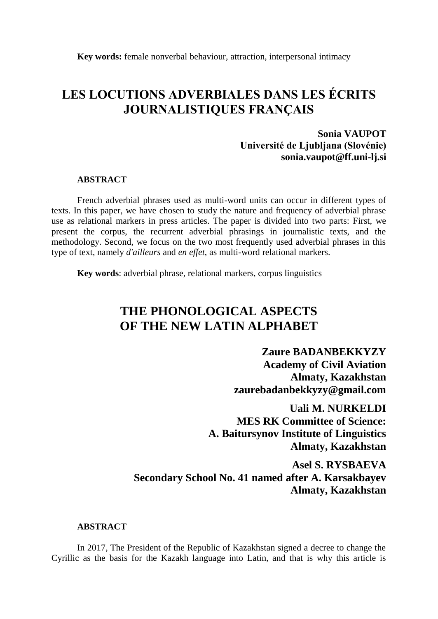**Key words:** female nonverbal behaviour, attraction, interpersonal intimacy

# **LES LOCUTIONS ADVERBIALES DANS LES ÉCRITS JOURNALISTIQUES FRANÇAIS**

### **Sonia VAUPOT Université de Ljubljana (Slovénie) sonia.vaupot@ff.uni-lj.si**

#### **ABSTRACT**

French adverbial phrases used as multi-word units can occur in different types of texts. In this paper, we have chosen to study the nature and frequency of adverbial phrase use as relational markers in press articles. The paper is divided into two parts: First, we present the corpus, the recurrent adverbial phrasings in journalistic texts, and the methodology. Second, we focus on the two most frequently used adverbial phrases in this type of text, namely *d'ailleurs* and *en effet*, as multi-word relational markers.

**Key words**: adverbial phrase, relational markers, corpus linguistics

# **THE PHONOLOGICAL ASPECTS OF THE NEW LATIN ALPHABET**

**Zaure BADANBEKKYZY Academy of Civil Aviation Almaty, Kazakhstan zaurebadanbekkyzy@gmail.com**

**Uali M. NURKELDI MES RK Committee of Science: A. Baitursynov Institute of Linguistics Almaty, Kazakhstan**

**Asel S. RYSBAEVA Secondary School No. 41 named after A. Karsakbayev Almaty, Kazakhstan**

#### **ABSTRACT**

In 2017, The President of the Republic of Kazakhstan signed a decree to change the Cyrillic as the basis for the Kazakh language into Latin, and that is why this article is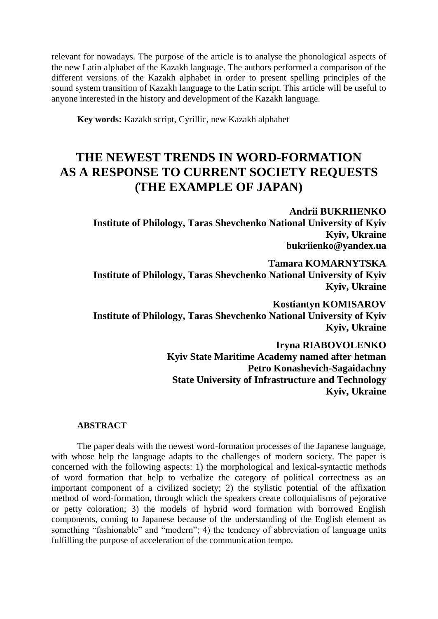relevant for nowadays. The purpose of the article is to analyse the phonological aspects of the new Latin alphabet of the Kazakh language. The authors performed a comparison of the different versions of the Kazakh alphabet in order to present spelling principles of the sound system transition of Kazakh language to the Latin script. This article will be useful to anyone interested in the history and development of the Kazakh language.

**Key words:** Kazakh script, Cyrillic, new Kazakh alphabet

# **THE NEWEST TRENDS IN WORD-FORMATION AS A RESPONSE TO CURRENT SOCIETY REQUESTS (THE EXAMPLE OF JAPAN)**

**Andrii BUKRIIENKO Institute of Philology, Taras Shevchenko National University of Kyiv Kyiv, Ukraine bukriienko@yandex.ua**

#### **Tamara KOMARNYTSKA**

**Institute of Philology, Taras Shevchenko National University of Kyiv Kyiv, Ukraine**

**Kostiantyn KOMISAROV Institute of Philology, Taras Shevchenko National University of Kyiv Kyiv, Ukraine**

> **Iryna RIABOVOLENKO Kyiv State Maritime Academy named after hetman Petro Konashevich-Sagaidachny State University of Infrastructure and Technology Kyiv, Ukraine**

#### **ABSTRACT**

The paper deals with the newest word-formation processes of the Japanese language, with whose help the language adapts to the challenges of modern society. The paper is concerned with the following aspects: 1) the morphological and lexical-syntactic methods of word formation that help to verbalize the category of political correctness as an important component of a civilized society; 2) the stylistic potential of the affixation method of word-formation, through which the speakers create colloquialisms of pejorative or petty coloration; 3) the models of hybrid word formation with borrowed English components, coming to Japanese because of the understanding of the English element as something "fashionable" and "modern"; 4) the tendency of abbreviation of language units fulfilling the purpose of acceleration of the communication tempo.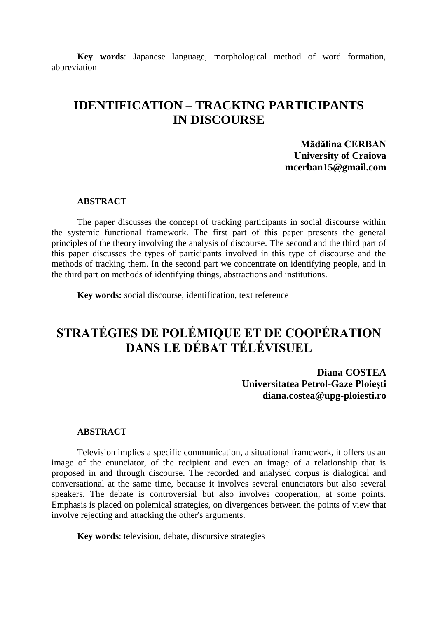**Key words**: Japanese language, morphological method of word formation, abbreviation

## **IDENTIFICATION – TRACKING PARTICIPANTS IN DISCOURSE**

**Mădălina CERBAN University of Craiova mcerban15@gmail.com**

#### **ABSTRACT**

The paper discusses the concept of tracking participants in social discourse within the systemic functional framework. The first part of this paper presents the general principles of the theory involving the analysis of discourse. The second and the third part of this paper discusses the types of participants involved in this type of discourse and the methods of tracking them. In the second part we concentrate on identifying people, and in the third part on methods of identifying things, abstractions and institutions.

**Key words:** social discourse, identification, text reference

# **STRATÉGIES DE POLÉMIQUE ET DE COOPÉRATION DANS LE DÉBAT TÉLÉVISUEL**

**Diana COSTEA Universitatea Petrol-Gaze Ploieşti diana.costea@upg-ploiesti.ro**

#### **ABSTRACT**

Television implies a specific communication, a situational framework, it offers us an image of the enunciator, of the recipient and even an image of a relationship that is proposed in and through discourse. The recorded and analysed corpus is dialogical and conversational at the same time, because it involves several enunciators but also several speakers. The debate is controversial but also involves cooperation, at some points. Emphasis is placed on polemical strategies, on divergences between the points of view that involve rejecting and attacking the other's arguments.

**Key words**: television, debate, discursive strategies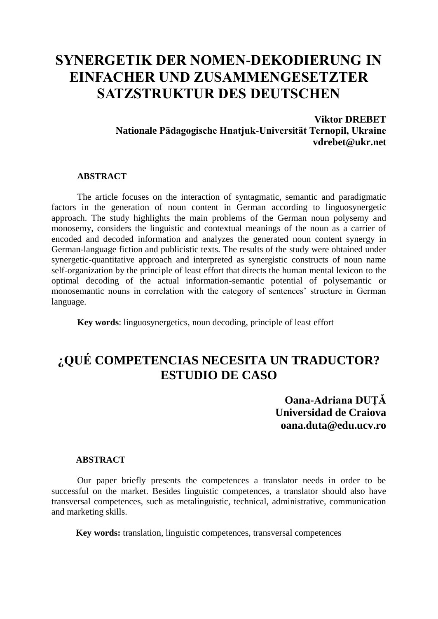# **SYNERGETIK DER NOMEN-DEKODIERUNG IN EINFACHER UND ZUSAMMENGESETZTER SATZSTRUKTUR DES DEUTSCHEN**

**Viktor DREBET Nationale Pädagogische Hnatjuk-Universität Ternopil, Ukraine vdrebet@ukr.net**

#### **ABSTRACT**

The article focuses on the interaction of syntagmatic, semantic and paradigmatic factors in the generation of noun content in German according to linguosynergetic approach. The study highlights the main problems of the German noun polysemy and monosemy, considers the linguistic and contextual meanings of the noun as a carrier of encoded and decoded information and analyzes the generated noun content synergy in German-language fiction and publicistic texts. The results of the study were obtained under synergetic-quantitative approach and interpreted as synergistic constructs of noun name self-organization by the principle of least effort that directs the human mental lexicon to the optimal decoding of the actual information-semantic potential of polysemantic or monosemantic nouns in correlation with the category of sentences' structure in German language.

**Key words**: linguosynergetics, noun decoding, principle of least effort

## **¿QUÉ COMPETENCIAS NECESITA UN TRADUCTOR? ESTUDIO DE CASO**

**Oana-Adriana DUȚĂ Universidad de Craiova oana.duta@edu.ucv.ro**

#### **ABSTRACT**

Our paper briefly presents the competences a translator needs in order to be successful on the market. Besides linguistic competences, a translator should also have transversal competences, such as metalinguistic, technical, administrative, communication and marketing skills.

**Key words:** translation, linguistic competences, transversal competences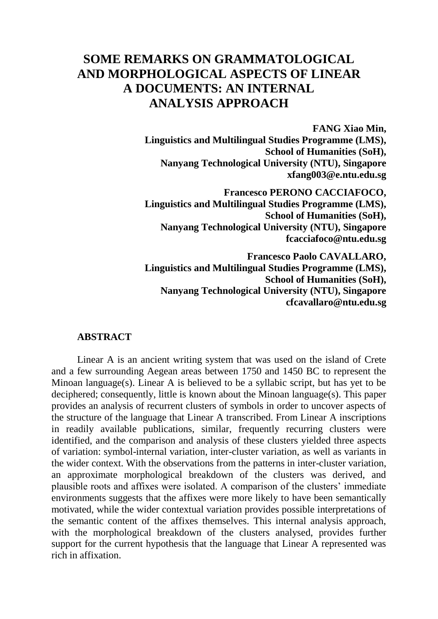## **SOME REMARKS ON GRAMMATOLOGICAL AND MORPHOLOGICAL ASPECTS OF LINEAR A DOCUMENTS: AN INTERNAL ANALYSIS APPROACH**

**FANG Xiao Min, Linguistics and Multilingual Studies Programme (LMS), School of Humanities (SoH), Nanyang Technological University (NTU), Singapore [xfang003@e.ntu.edu.sg](mailto:xfang003@e.ntu.edu.sg)**

**Francesco PERONO CACCIAFOCO, Linguistics and Multilingual Studies Programme (LMS), School of Humanities (SoH), Nanyang Technological University (NTU), Singapore fcacciafoco@ntu.edu.sg**

**Francesco Paolo CAVALLARO, Linguistics and Multilingual Studies Programme (LMS), School of Humanities (SoH), Nanyang Technological University (NTU), Singapore [cfcavallaro@ntu.edu.sg](mailto:cfcavallaro@ntu.edu.sg)**

#### **ABSTRACT**

Linear A is an ancient writing system that was used on the island of Crete and a few surrounding Aegean areas between 1750 and 1450 BC to represent the Minoan language(s). Linear A is believed to be a syllabic script, but has yet to be deciphered; consequently, little is known about the Minoan language(s). This paper provides an analysis of recurrent clusters of symbols in order to uncover aspects of the structure of the language that Linear A transcribed. From Linear A inscriptions in readily available publications, similar, frequently recurring clusters were identified, and the comparison and analysis of these clusters yielded three aspects of variation: symbol-internal variation, inter-cluster variation, as well as variants in the wider context. With the observations from the patterns in inter-cluster variation, an approximate morphological breakdown of the clusters was derived, and plausible roots and affixes were isolated. A comparison of the clusters' immediate environments suggests that the affixes were more likely to have been semantically motivated, while the wider contextual variation provides possible interpretations of the semantic content of the affixes themselves. This internal analysis approach, with the morphological breakdown of the clusters analysed, provides further support for the current hypothesis that the language that Linear A represented was rich in affixation.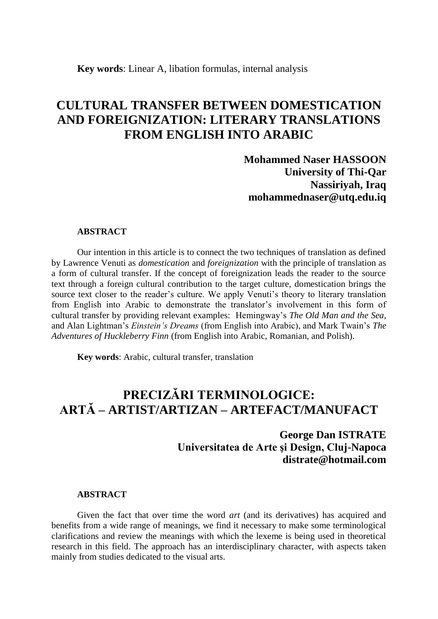## **CULTURAL TRANSFER BETWEEN DOMESTICATION AND FOREIGNIZATION: LITERARY TRANSLATIONS FROM ENGLISH INTO ARABIC**

**Mohammed Naser HASSOON University of Thi-Qar Nassiriyah, Iraq mohammednaser@utq.edu.iq**

#### **ABSTRACT**

Our intention in this article is to connect the two techniques of translation as defined by Lawrence Venuti as *domestication* and *foreignization* with the principle of translation as a form of cultural transfer. If the concept of foreignization leads the reader to the source text through a foreign cultural contribution to the target culture, domestication brings the source text closer to the reader's culture. We apply Venuti's theory to literary translation from English into Arabic to demonstrate the translator's involvement in this form of cultural transfer by providing relevant examples: Hemingway's *The Old Man and the Sea,*  and Alan Lightman's *Einstein's Dreams* (from English into Arabic), and Mark Twain's *The Adventures of Huckleberry Finn* (from English into Arabic, Romanian, and Polish).

**Key words**: Arabic, cultural transfer, translation

# **PRECIZĂRI TERMINOLOGICE: ARTĂ – ARTIST/ARTIZAN – ARTEFACT/MANUFACT**

**George Dan ISTRATE Universitatea de Arte şi Design, Cluj-Napoca distrate@hotmail.com**

#### **ABSTRACT**

Given the fact that over time the word *art* (and its derivatives) has acquired and benefits from a wide range of meanings, we find it necessary to make some terminological clarifications and review the meanings with which the lexeme is being used in theoretical research in this field. The approach has an interdisciplinary character, with aspects taken mainly from studies dedicated to the visual arts.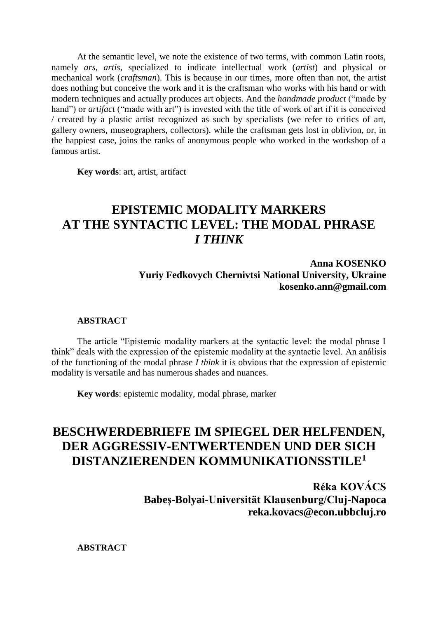At the semantic level, we note the existence of two terms, with common Latin roots, namely *ars*, *artis*, specialized to indicate intellectual work (*artist*) and physical or mechanical work (*craftsman*). This is because in our times, more often than not, the artist does nothing but conceive the work and it is the craftsman who works with his hand or with modern techniques and actually produces art objects. And the *handmade product* ("made by hand") or *artifact* ("made with art") is invested with the title of work of art if it is conceived / created by a plastic artist recognized as such by specialists (we refer to critics of art, gallery owners, museographers, collectors), while the craftsman gets lost in oblivion, or, in the happiest case, joins the ranks of anonymous people who worked in the workshop of a famous artist.

**Key words**: art, artist, artifact

# **EPISTEMIC MODALITY MARKERS AT THE SYNTACTIC LEVEL: THE MODAL PHRASE** *I THINK*

**Anna KOSENKO Yuriy Fedkovych Chernivtsi National University, Ukraine kosenko.ann@gmail.com**

#### **ABSTRACT**

The article "Epistemic modality markers at the syntactic level: the modal phrase I think" deals with the expression of the epistemic modality at the syntactic level. An análisis of the functioning of the modal phrase *I think* it is obvious that the expression of epistemic modality is versatile and has numerous shades and nuances.

**Key words**: epistemic modality, modal phrase, marker

# **BESCHWERDEBRIEFE IM SPIEGEL DER HELFENDEN, DER AGGRESSIV-ENTWERTENDEN UND DER SICH DISTANZIERENDEN KOMMUNIKATIONSSTILE<sup>1</sup>**

**Réka KOVÁCS Babeș-Bolyai-Universität Klausenburg/Cluj-Napoca [reka.kovacs@econ.](mailto:reka.kovacs@econ)ubbcluj.ro**

**ABSTRACT**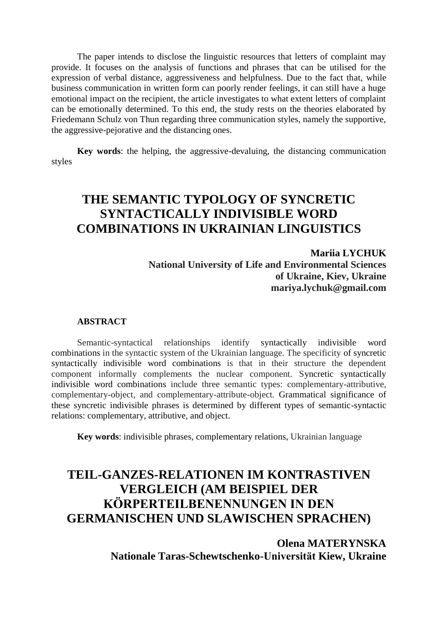The paper intends to disclose the linguistic resources that letters of complaint may provide. It focuses on the analysis of functions and phrases that can be utilised for the expression of verbal distance, aggressiveness and helpfulness. Due to the fact that, while business communication in written form can poorly render feelings, it can still have a huge emotional impact on the recipient, the article investigates to what extent letters of complaint can be emotionally determined. To this end, the study rests on the theories elaborated by Friedemann Schulz von Thun regarding three communication styles, namely the supportive, the aggressive-pejorative and the distancing ones.

**Key words**: the helping, the aggressive-devaluing, the distancing communication styles

# **THE SEMANTIC TYPOLOGY OF SYNCRETIC SYNTACTICALLY INDIVISIBLE WORD COMBINATIONS IN UKRAINIAN LINGUISTICS**

**Mariia LYCHUK National University of Life and Environmental Sciences of Ukraine, Kiev, Ukraine mariya.lychuk@gmail.com**

#### **ABSTRACT**

Semantic-syntactical relationships identify syntactically indivisible word combinations in the syntactic system of the Ukrainian language. The specificity of syncretic syntactically indivisible word combinations is that in their structure the dependent component informally complements the nuclear component. Syncretic syntactically indivisible word combinations include three semantic types: complementary-attributive, complementary-object, and complementary-attribute-object. Grammatical significance of these syncretic indivisible phrases is determined by different types of semantic-syntactic relations: complementary, attributive, and object.

**Key words**: indivisible phrases, complementary relations, Ukrainian language

# **TEIL-GANZES-RELATIONEN IM KONTRASTIVEN VERGLEICH (AM BEISPIEL DER KÖRPERTEILBENENNUNGEN IN DEN GERMANISCHEN UND SLAWISCHEN SPRACHEN)**

**Olena MATERYNSKA Nationale Taras-Schewtschenko-Universität Kiew, Ukraine**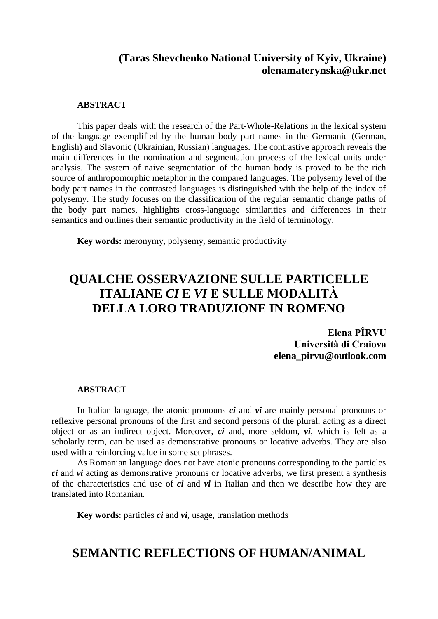### **(Taras Shevchenko National University of Kyiv, Ukraine) olenamaterynska@ukr.net**

#### **ABSTRACT**

This paper deals with the research of the Part-Whole-Relations in the lexical system of the language exemplified by the human body part names in the Germanic (German, English) and Slavonic (Ukrainian, Russian) languages. The contrastive approach reveals the main differences in the nomination and segmentation process of the lexical units under analysis. The system of naive segmentation of the human body is proved to be the rich source of anthropomorphic metaphor in the compared languages. The polysemy level of the body part names in the contrasted languages is distinguished with the help of the index of polysemy. The study focuses on the classification of the regular semantic change paths of the body part names, highlights cross-language similarities and differences in their semantics and outlines their semantic productivity in the field of terminology.

**Key words:** meronymy, polysemy, semantic productivity

# **QUALCHE OSSERVAZIONE SULLE PARTICELLE ITALIANE** *CI* **E** *VI* **E SULLE MODALITÀ DELLA LORO TRADUZIONE IN ROMENO**

**Elena PÎRVU Università di Craiova [elena\\_pirvu@outlook.com](mailto:elena_pirvu@outlook.com)**

#### **ABSTRACT**

In Italian language, the atonic pronouns *ci* and *vi* are mainly personal pronouns or reflexive personal pronouns of the first and second persons of the plural, acting as a direct object or as an indirect object. Moreover, *ci* and, more seldom, *vi*, which is felt as a scholarly term, can be used as demonstrative pronouns or locative adverbs. They are also used with a reinforcing value in some set phrases.

As Romanian language does not have atonic pronouns corresponding to the particles *ci* and *vi* acting as demonstrative pronouns or locative adverbs, we first present a synthesis of the characteristics and use of *ci* and *vi* in Italian and then we describe how they are translated into Romanian.

**Key words**: particles *ci* and *vi*, usage, translation methods

### **SEMANTIC REFLECTIONS OF HUMAN/ANIMAL**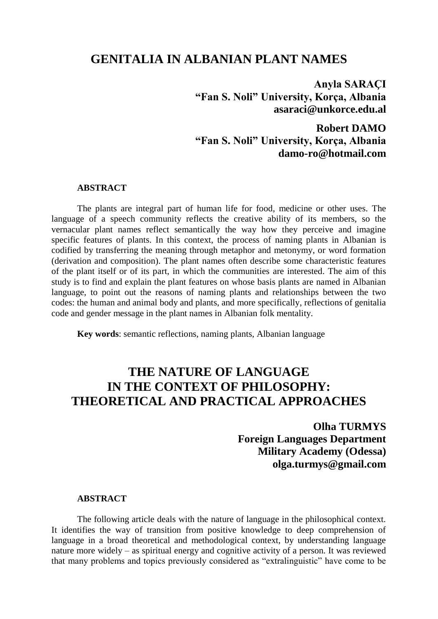### **GENITALIA IN ALBANIAN PLANT NAMES**

**Anyla SARAÇI "Fan S. Noli" University, Korça, Albania [asaraci@unkorce.edu.al](mailto:asaraci@unkorce.edu.al)**

**Robert DAMO "Fan S. Noli" University, Korça, Albania damo-ro@hotmail.com**

#### **ABSTRACT**

The plants are integral part of human life for food, medicine or other uses. The language of a speech community reflects the creative ability of its members, so the vernacular plant names reflect semantically the way how they perceive and imagine specific features of plants. In this context, the process of naming plants in Albanian is codified by transferring the meaning through metaphor and metonymy, or word formation (derivation and composition). The plant names often describe some characteristic features of the plant itself or of its part, in which the communities are interested. The aim of this study is to find and explain the plant features on whose basis plants are named in Albanian language, to point out the reasons of naming plants and relationships between the two codes: the human and animal body and plants, and more specifically, reflections of genitalia code and gender message in the plant names in Albanian folk mentality.

**Key words**: semantic reflections, naming plants, Albanian language

## **THE NATURE OF LANGUAGE IN THE CONTEXT OF PHILOSOPHY: THEORETICAL AND PRACTICAL APPROACHES**

**Olha TURMYS Foreign Languages Department Military Academy (Odessa) olga.turmys@gmail.com**

#### **ABSTRACT**

The following article deals with the nature of language in the philosophical context. It identifies the way of transition from positive knowledge to deep comprehension of language in a broad theoretical and methodological context, by understanding language nature more widely – as spiritual energy and cognitive activity of a person. It was reviewed that many problems and topics previously considered as "extralinguistic" have come to be